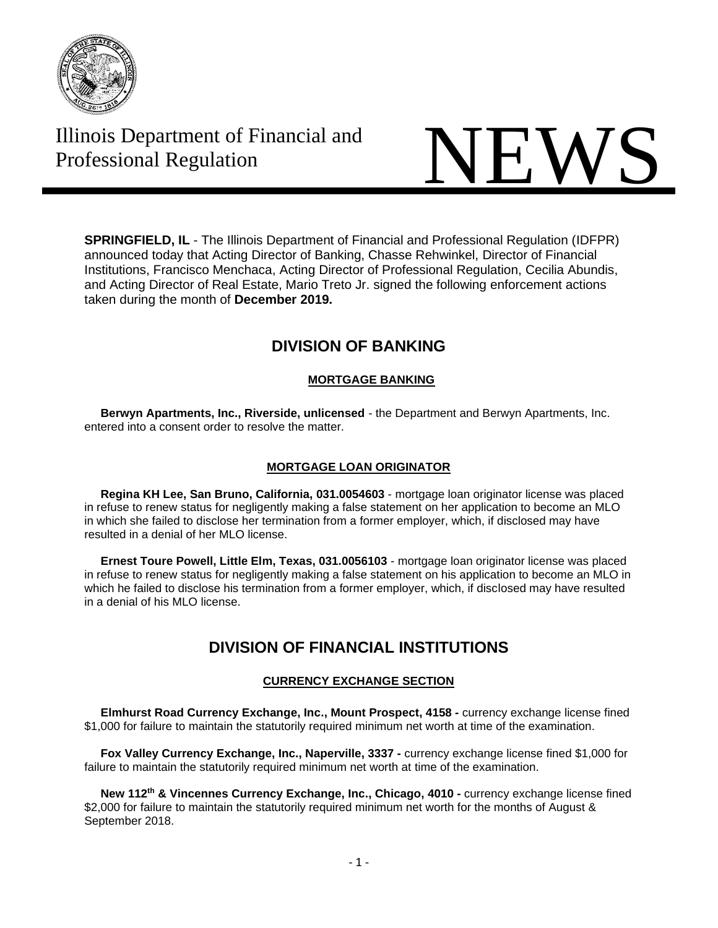

# Illinois Department of Financial and

# Illinois Department of Financial and<br>Professional Regulation

**SPRINGFIELD, IL** - The Illinois Department of Financial and Professional Regulation (IDFPR) announced today that Acting Director of Banking, Chasse Rehwinkel, Director of Financial Institutions, Francisco Menchaca, Acting Director of Professional Regulation, Cecilia Abundis, and Acting Director of Real Estate, Mario Treto Jr. signed the following enforcement actions taken during the month of **December 2019.**

# **DIVISION OF BANKING**

# **MORTGAGE BANKING**

 **Berwyn Apartments, Inc., Riverside, unlicensed** - the Department and Berwyn Apartments, Inc. entered into a consent order to resolve the matter.

### **MORTGAGE LOAN ORIGINATOR**

 **Regina KH Lee, San Bruno, California, [031.0054603](https://www.idfpr.com/banks/resfin/discipline/LO2019/2019-MLO-06.pdf)** - mortgage loan originator license was placed in refuse to renew status for negligently making a false statement on her application to become an MLO in which she failed to disclose her termination from a former employer, which, if disclosed may have resulted in a denial of her MLO license.

 **Ernest Toure Powell, Little Elm, Texas, 031.0056103** - mortgage loan originator license was placed in refuse to renew status for negligently making a false statement on his application to become an MLO in which he failed to disclose his termination from a former employer, which, if disclosed may have resulted in a denial of his MLO license.

# **DIVISION OF FINANCIAL INSTITUTIONS**

# **CURRENCY EXCHANGE SECTION**

 **Elmhurst Road Currency Exchange, Inc., Mount Prospect, 4158 -** currency exchange license fined \$1,000 for failure to maintain the statutorily required minimum net worth at time of the examination.

 **Fox Valley Currency Exchange, Inc., Naperville, 3337 -** currency exchange license fined \$1,000 for failure to maintain the statutorily required minimum net worth at time of the examination.

 **New 112th & Vincennes Currency Exchange, Inc., Chicago, 4010 -** currency exchange license fined \$2,000 for failure to maintain the statutorily required minimum net worth for the months of August & September 2018.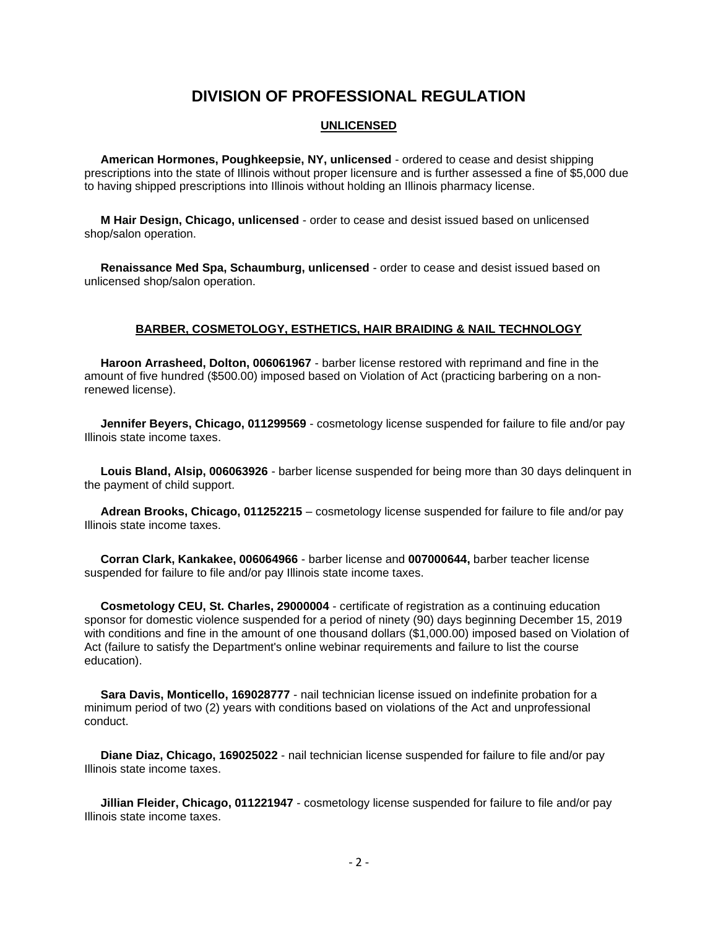# **DIVISION OF PROFESSIONAL REGULATION**

#### **UNLICENSED**

 **American Hormones, Poughkeepsie, NY, unlicensed** - ordered to cease and desist shipping prescriptions into the state of Illinois without proper licensure and is further assessed a fine of \$5,000 due to having shipped prescriptions into Illinois without holding an Illinois pharmacy license.

 **M Hair Design, Chicago, unlicensed** - order to cease and desist issued based on unlicensed shop/salon operation.

 **Renaissance Med Spa, Schaumburg, unlicensed** - order to cease and desist issued based on unlicensed shop/salon operation.

#### **BARBER, COSMETOLOGY, ESTHETICS, HAIR BRAIDING & NAIL TECHNOLOGY**

 **Haroon Arrasheed, Dolton, 006061967** - barber license restored with reprimand and fine in the amount of five hundred (\$500.00) imposed based on Violation of Act (practicing barbering on a nonrenewed license).

 **Jennifer Beyers, Chicago, 011299569** - cosmetology license suspended for failure to file and/or pay Illinois state income taxes.

 **Louis Bland, Alsip, 006063926** - barber license suspended for being more than 30 days delinquent in the payment of child support.

 **Adrean Brooks, Chicago, 011252215** – cosmetology license suspended for failure to file and/or pay Illinois state income taxes.

 **Corran Clark, Kankakee, 006064966** - barber license and **007000644,** barber teacher license suspended for failure to file and/or pay Illinois state income taxes.

 **Cosmetology CEU, St. Charles, 29000004** - certificate of registration as a continuing education sponsor for domestic violence suspended for a period of ninety (90) days beginning December 15, 2019 with conditions and fine in the amount of one thousand dollars (\$1,000.00) imposed based on Violation of Act (failure to satisfy the Department's online webinar requirements and failure to list the course education).

 **Sara Davis, Monticello, 169028777** - nail technician license issued on indefinite probation for a minimum period of two (2) years with conditions based on violations of the Act and unprofessional conduct.

 **Diane Diaz, Chicago, 169025022** - nail technician license suspended for failure to file and/or pay Illinois state income taxes.

 **Jillian Fleider, Chicago, 011221947** - cosmetology license suspended for failure to file and/or pay Illinois state income taxes.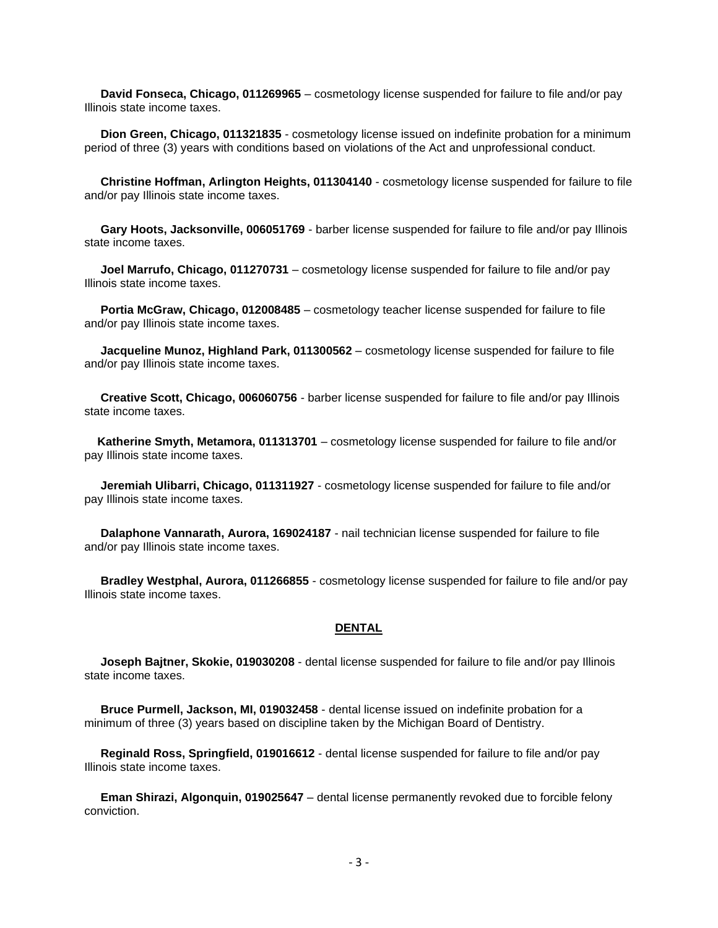**David Fonseca, Chicago, 011269965** – cosmetology license suspended for failure to file and/or pay Illinois state income taxes.

 **Dion Green, Chicago, 011321835** - cosmetology license issued on indefinite probation for a minimum period of three (3) years with conditions based on violations of the Act and unprofessional conduct.

 **Christine Hoffman, Arlington Heights, 011304140** - cosmetology license suspended for failure to file and/or pay Illinois state income taxes.

 **Gary Hoots, Jacksonville, 006051769** - barber license suspended for failure to file and/or pay Illinois state income taxes.

 **Joel Marrufo, Chicago, 011270731** – cosmetology license suspended for failure to file and/or pay Illinois state income taxes.

 **Portia McGraw, Chicago, 012008485** – cosmetology teacher license suspended for failure to file and/or pay Illinois state income taxes.

 **Jacqueline Munoz, Highland Park, 011300562** – cosmetology license suspended for failure to file and/or pay Illinois state income taxes.

 **Creative Scott, Chicago, 006060756** - barber license suspended for failure to file and/or pay Illinois state income taxes.

 **Katherine Smyth, Metamora, 011313701** – cosmetology license suspended for failure to file and/or pay Illinois state income taxes.

 **Jeremiah Ulibarri, Chicago, 011311927** - cosmetology license suspended for failure to file and/or pay Illinois state income taxes.

 **Dalaphone Vannarath, Aurora, 169024187** - nail technician license suspended for failure to file and/or pay Illinois state income taxes.

 **Bradley Westphal, Aurora, 011266855** - cosmetology license suspended for failure to file and/or pay Illinois state income taxes.

#### **DENTAL**

 **Joseph Bajtner, Skokie, 019030208** - dental license suspended for failure to file and/or pay Illinois state income taxes.

 **Bruce Purmell, Jackson, MI, 019032458** - dental license issued on indefinite probation for a minimum of three (3) years based on discipline taken by the Michigan Board of Dentistry.

 **Reginald Ross, Springfield, 019016612** - dental license suspended for failure to file and/or pay Illinois state income taxes.

 **Eman Shirazi, Algonquin, 019025647** – dental license permanently revoked due to forcible felony conviction.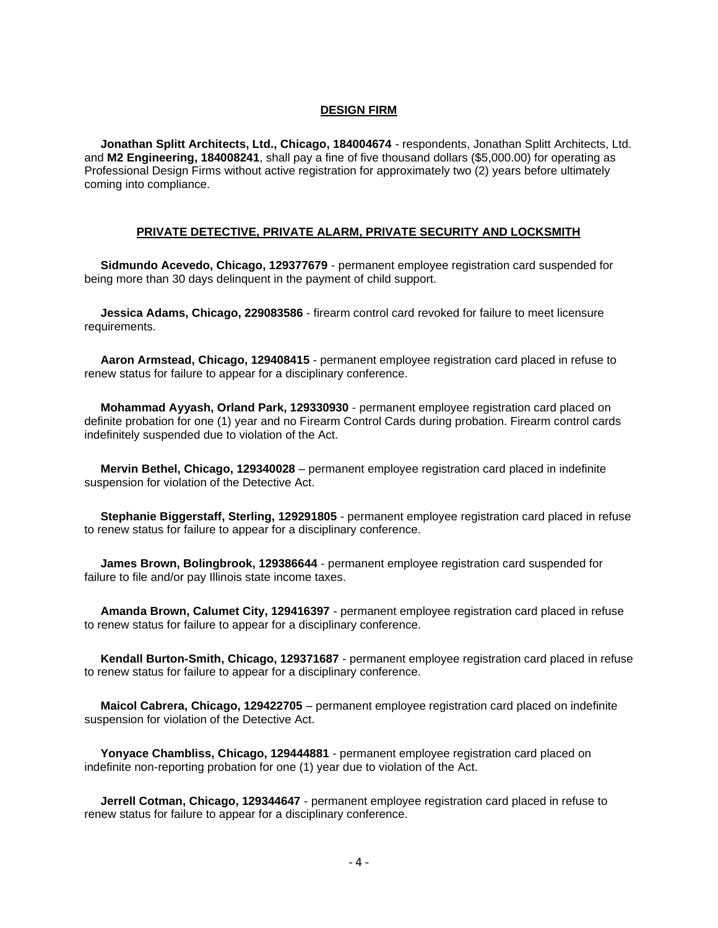#### **DESIGN FIRM**

 **Jonathan Splitt Architects, Ltd., Chicago, 184004674** - respondents, Jonathan Splitt Architects, Ltd. and **M2 Engineering, 184008241**, shall pay a fine of five thousand dollars (\$5,000.00) for operating as Professional Design Firms without active registration for approximately two (2) years before ultimately coming into compliance.

#### **PRIVATE DETECTIVE, PRIVATE ALARM, PRIVATE SECURITY AND LOCKSMITH**

 **Sidmundo Acevedo, Chicago, 129377679** - permanent employee registration card suspended for being more than 30 days delinquent in the payment of child support.

 **Jessica Adams, Chicago, 229083586** - firearm control card revoked for failure to meet licensure requirements.

 **Aaron Armstead, Chicago, 129408415** - permanent employee registration card placed in refuse to renew status for failure to appear for a disciplinary conference.

 **Mohammad Ayyash, Orland Park, 129330930** - permanent employee registration card placed on definite probation for one (1) year and no Firearm Control Cards during probation. Firearm control cards indefinitely suspended due to violation of the Act.

 **Mervin Bethel, Chicago, 129340028** – permanent employee registration card placed in indefinite suspension for violation of the Detective Act.

 **Stephanie Biggerstaff, Sterling, 129291805** - permanent employee registration card placed in refuse to renew status for failure to appear for a disciplinary conference.

 **James Brown, Bolingbrook, 129386644** - permanent employee registration card suspended for failure to file and/or pay Illinois state income taxes.

 **Amanda Brown, Calumet City, 129416397** - permanent employee registration card placed in refuse to renew status for failure to appear for a disciplinary conference.

 **Kendall Burton-Smith, Chicago, 129371687** - permanent employee registration card placed in refuse to renew status for failure to appear for a disciplinary conference.

 **Maicol Cabrera, Chicago, 129422705** – permanent employee registration card placed on indefinite suspension for violation of the Detective Act.

 **Yonyace Chambliss, Chicago, 129444881** - permanent employee registration card placed on indefinite non-reporting probation for one (1) year due to violation of the Act.

 **Jerrell Cotman, Chicago, 129344647** - permanent employee registration card placed in refuse to renew status for failure to appear for a disciplinary conference.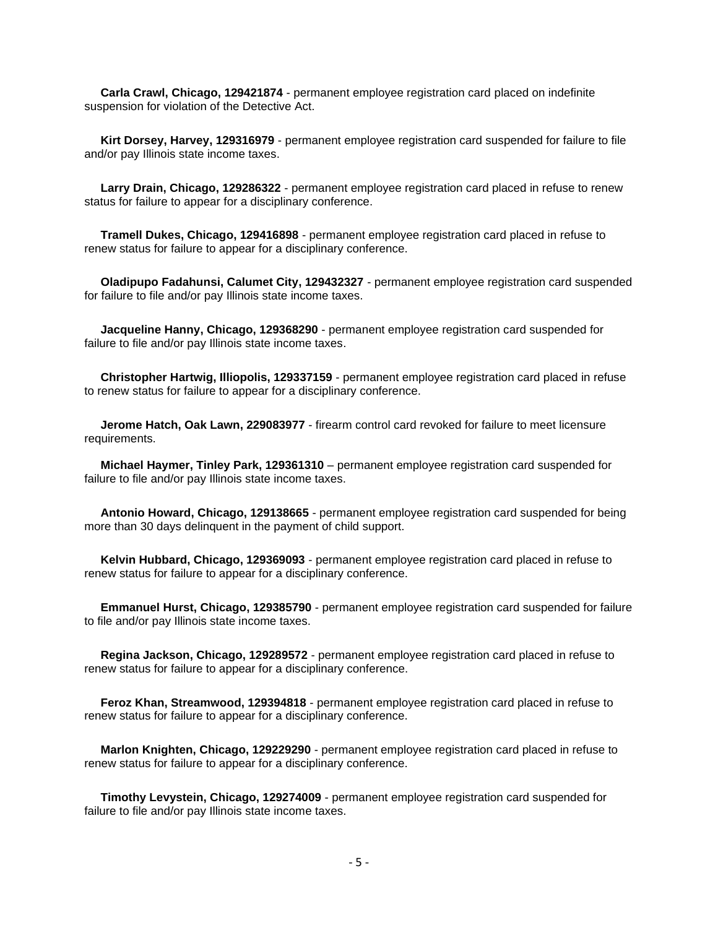**Carla Crawl, Chicago, 129421874** - permanent employee registration card placed on indefinite suspension for violation of the Detective Act.

 **Kirt Dorsey, Harvey, 129316979** - permanent employee registration card suspended for failure to file and/or pay Illinois state income taxes.

Larry Drain, Chicago, 129286322 - permanent employee registration card placed in refuse to renew status for failure to appear for a disciplinary conference.

 **Tramell Dukes, Chicago, 129416898** - permanent employee registration card placed in refuse to renew status for failure to appear for a disciplinary conference.

 **Oladipupo Fadahunsi, Calumet City, 129432327** - permanent employee registration card suspended for failure to file and/or pay Illinois state income taxes.

 **Jacqueline Hanny, Chicago, 129368290** - permanent employee registration card suspended for failure to file and/or pay Illinois state income taxes.

 **Christopher Hartwig, Illiopolis, 129337159** - permanent employee registration card placed in refuse to renew status for failure to appear for a disciplinary conference.

 **Jerome Hatch, Oak Lawn, 229083977** - firearm control card revoked for failure to meet licensure requirements.

 **Michael Haymer, Tinley Park, 129361310** – permanent employee registration card suspended for failure to file and/or pay Illinois state income taxes.

 **Antonio Howard, Chicago, 129138665** - permanent employee registration card suspended for being more than 30 days delinquent in the payment of child support.

 **Kelvin Hubbard, Chicago, 129369093** - permanent employee registration card placed in refuse to renew status for failure to appear for a disciplinary conference.

 **Emmanuel Hurst, Chicago, 129385790** - permanent employee registration card suspended for failure to file and/or pay Illinois state income taxes.

 **Regina Jackson, Chicago, 129289572** - permanent employee registration card placed in refuse to renew status for failure to appear for a disciplinary conference.

 **Feroz Khan, Streamwood, 129394818** - permanent employee registration card placed in refuse to renew status for failure to appear for a disciplinary conference.

 **Marlon Knighten, Chicago, 129229290** - permanent employee registration card placed in refuse to renew status for failure to appear for a disciplinary conference.

 **Timothy Levystein, Chicago, 129274009** - permanent employee registration card suspended for failure to file and/or pay Illinois state income taxes.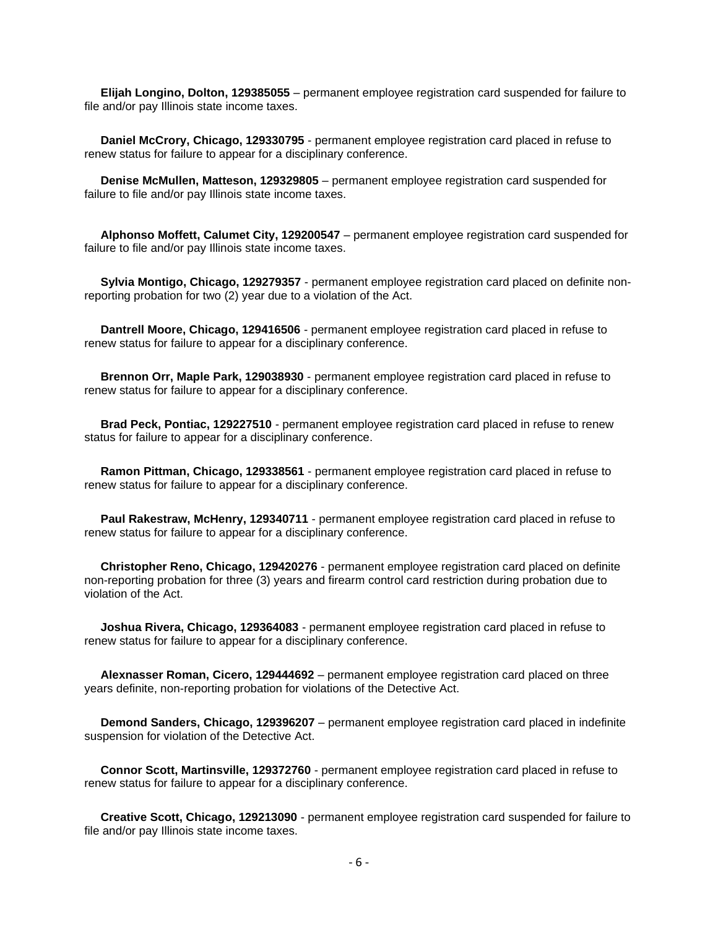**Elijah Longino, Dolton, 129385055** – permanent employee registration card suspended for failure to file and/or pay Illinois state income taxes.

 **Daniel McCrory, Chicago, 129330795** - permanent employee registration card placed in refuse to renew status for failure to appear for a disciplinary conference.

 **Denise McMullen, Matteson, 129329805** – permanent employee registration card suspended for failure to file and/or pay Illinois state income taxes.

 **Alphonso Moffett, Calumet City, 129200547** – permanent employee registration card suspended for failure to file and/or pay Illinois state income taxes.

 **Sylvia Montigo, Chicago, 129279357** - permanent employee registration card placed on definite nonreporting probation for two (2) year due to a violation of the Act.

 **Dantrell Moore, Chicago, 129416506** - permanent employee registration card placed in refuse to renew status for failure to appear for a disciplinary conference.

 **Brennon Orr, Maple Park, 129038930** - permanent employee registration card placed in refuse to renew status for failure to appear for a disciplinary conference.

 **Brad Peck, Pontiac, 129227510** - permanent employee registration card placed in refuse to renew status for failure to appear for a disciplinary conference.

 **Ramon Pittman, Chicago, 129338561** - permanent employee registration card placed in refuse to renew status for failure to appear for a disciplinary conference.

 **Paul Rakestraw, McHenry, 129340711** - permanent employee registration card placed in refuse to renew status for failure to appear for a disciplinary conference.

 **Christopher Reno, Chicago, 129420276** - permanent employee registration card placed on definite non-reporting probation for three (3) years and firearm control card restriction during probation due to violation of the Act.

 **Joshua Rivera, Chicago, 129364083** - permanent employee registration card placed in refuse to renew status for failure to appear for a disciplinary conference.

 **Alexnasser Roman, Cicero, 129444692** – permanent employee registration card placed on three years definite, non-reporting probation for violations of the Detective Act.

 **Demond Sanders, Chicago, 129396207** – permanent employee registration card placed in indefinite suspension for violation of the Detective Act.

 **Connor Scott, Martinsville, 129372760** - permanent employee registration card placed in refuse to renew status for failure to appear for a disciplinary conference.

 **Creative Scott, Chicago, 129213090** - permanent employee registration card suspended for failure to file and/or pay Illinois state income taxes.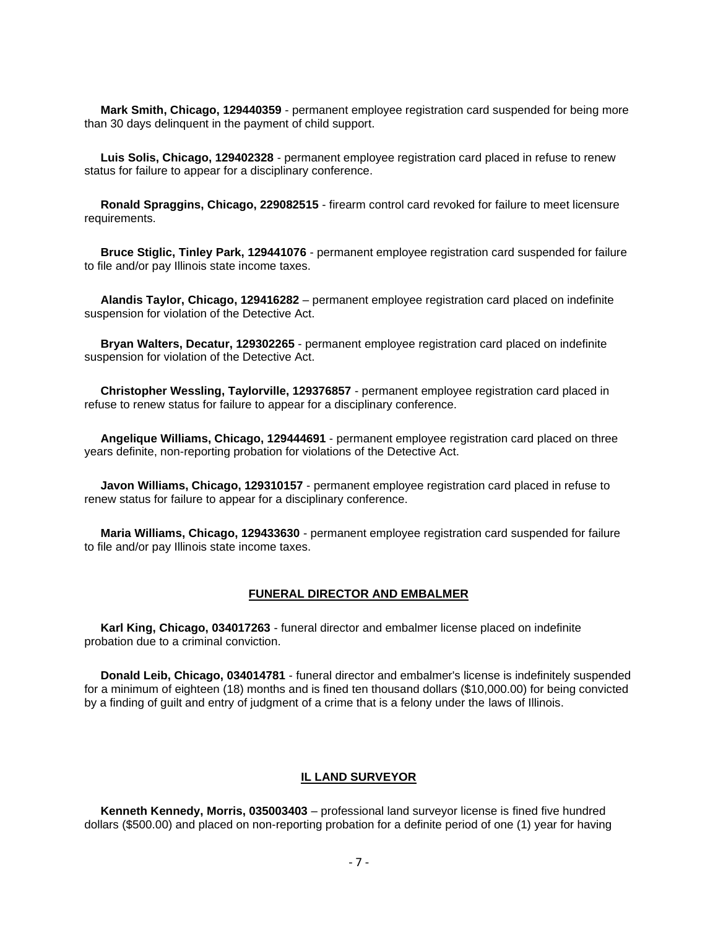**Mark Smith, Chicago, 129440359** - permanent employee registration card suspended for being more than 30 days delinquent in the payment of child support.

 **Luis Solis, Chicago, 129402328** - permanent employee registration card placed in refuse to renew status for failure to appear for a disciplinary conference.

 **Ronald Spraggins, Chicago, 229082515** - firearm control card revoked for failure to meet licensure requirements.

 **Bruce Stiglic, Tinley Park, 129441076** - permanent employee registration card suspended for failure to file and/or pay Illinois state income taxes.

 **Alandis Taylor, Chicago, 129416282** – permanent employee registration card placed on indefinite suspension for violation of the Detective Act.

 **Bryan Walters, Decatur, 129302265** - permanent employee registration card placed on indefinite suspension for violation of the Detective Act.

 **Christopher Wessling, Taylorville, 129376857** - permanent employee registration card placed in refuse to renew status for failure to appear for a disciplinary conference.

 **Angelique Williams, Chicago, 129444691** - permanent employee registration card placed on three years definite, non-reporting probation for violations of the Detective Act.

 **Javon Williams, Chicago, 129310157** - permanent employee registration card placed in refuse to renew status for failure to appear for a disciplinary conference.

 **Maria Williams, Chicago, 129433630** - permanent employee registration card suspended for failure to file and/or pay Illinois state income taxes.

#### **FUNERAL DIRECTOR AND EMBALMER**

 **Karl King, Chicago, 034017263** - funeral director and embalmer license placed on indefinite probation due to a criminal conviction.

 **Donald Leib, Chicago, 034014781** - funeral director and embalmer's license is indefinitely suspended for a minimum of eighteen (18) months and is fined ten thousand dollars (\$10,000.00) for being convicted by a finding of guilt and entry of judgment of a crime that is a felony under the laws of Illinois.

#### **IL LAND SURVEYOR**

 **Kenneth Kennedy, Morris, 035003403** – professional land surveyor license is fined five hundred dollars (\$500.00) and placed on non-reporting probation for a definite period of one (1) year for having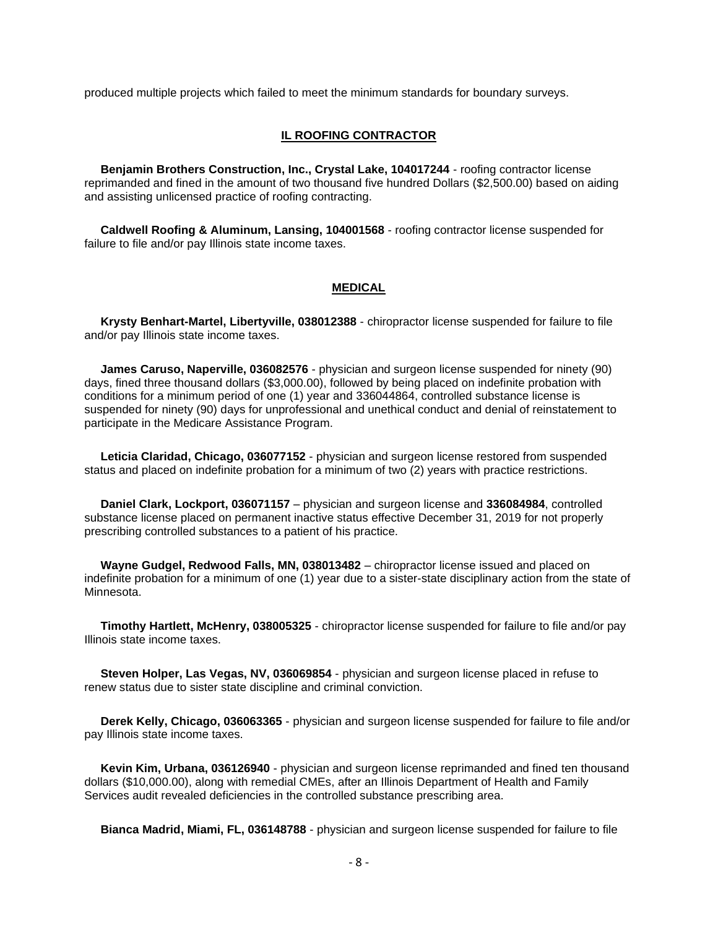produced multiple projects which failed to meet the minimum standards for boundary surveys.

#### **IL ROOFING CONTRACTOR**

 **Benjamin Brothers Construction, Inc., Crystal Lake, 104017244** - roofing contractor license reprimanded and fined in the amount of two thousand five hundred Dollars (\$2,500.00) based on aiding and assisting unlicensed practice of roofing contracting.

 **Caldwell Roofing & Aluminum, Lansing, 104001568** - roofing contractor license suspended for failure to file and/or pay Illinois state income taxes.

#### **MEDICAL**

 **Krysty Benhart-Martel, Libertyville, 038012388** - chiropractor license suspended for failure to file and/or pay Illinois state income taxes.

 **James Caruso, Naperville, 036082576** - physician and surgeon license suspended for ninety (90) days, fined three thousand dollars (\$3,000.00), followed by being placed on indefinite probation with conditions for a minimum period of one (1) year and 336044864, controlled substance license is suspended for ninety (90) days for unprofessional and unethical conduct and denial of reinstatement to participate in the Medicare Assistance Program.

 **Leticia Claridad, Chicago, 036077152** - physician and surgeon license restored from suspended status and placed on indefinite probation for a minimum of two (2) years with practice restrictions.

 **Daniel Clark, Lockport, 036071157** – physician and surgeon license and **336084984**, controlled substance license placed on permanent inactive status effective December 31, 2019 for not properly prescribing controlled substances to a patient of his practice.

 **Wayne Gudgel, Redwood Falls, MN, 038013482** – chiropractor license issued and placed on indefinite probation for a minimum of one (1) year due to a sister-state disciplinary action from the state of Minnesota.

 **Timothy Hartlett, McHenry, 038005325** - chiropractor license suspended for failure to file and/or pay Illinois state income taxes.

 **Steven Holper, Las Vegas, NV, 036069854** - physician and surgeon license placed in refuse to renew status due to sister state discipline and criminal conviction.

 **Derek Kelly, Chicago, 036063365** - physician and surgeon license suspended for failure to file and/or pay Illinois state income taxes.

 **Kevin Kim, Urbana, 036126940** - physician and surgeon license reprimanded and fined ten thousand dollars (\$10,000.00), along with remedial CMEs, after an Illinois Department of Health and Family Services audit revealed deficiencies in the controlled substance prescribing area.

**Bianca Madrid, Miami, FL, 036148788** - physician and surgeon license suspended for failure to file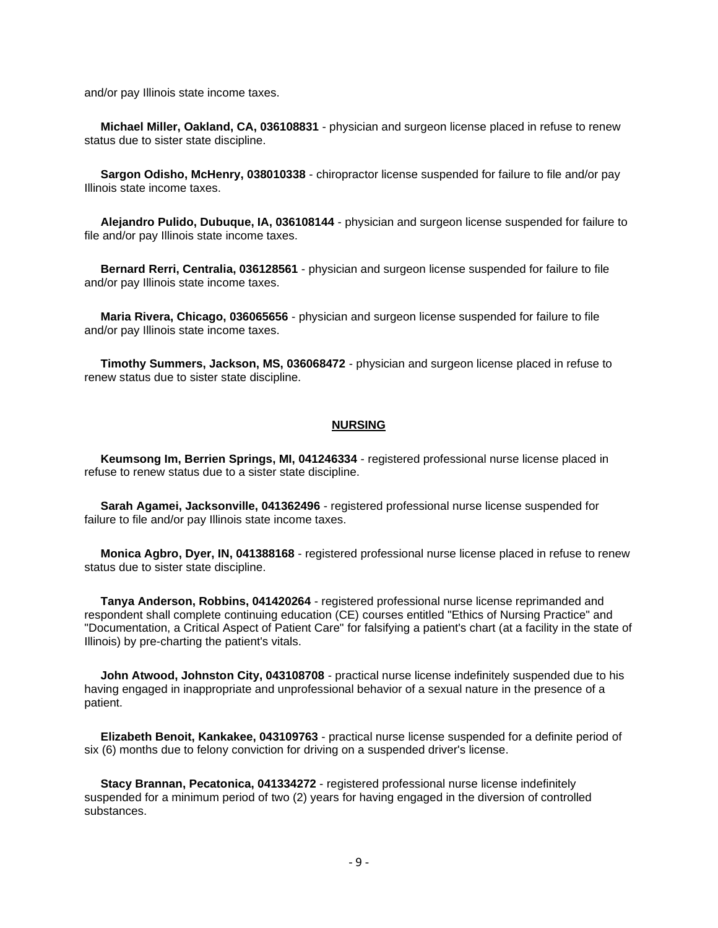and/or pay Illinois state income taxes.

 **Michael Miller, Oakland, CA, 036108831** - physician and surgeon license placed in refuse to renew status due to sister state discipline.

 **Sargon Odisho, McHenry, 038010338** - chiropractor license suspended for failure to file and/or pay Illinois state income taxes.

 **Alejandro Pulido, Dubuque, IA, 036108144** - physician and surgeon license suspended for failure to file and/or pay Illinois state income taxes.

 **Bernard Rerri, Centralia, 036128561** - physician and surgeon license suspended for failure to file and/or pay Illinois state income taxes.

 **Maria Rivera, Chicago, 036065656** - physician and surgeon license suspended for failure to file and/or pay Illinois state income taxes.

 **Timothy Summers, Jackson, MS, 036068472** - physician and surgeon license placed in refuse to renew status due to sister state discipline.

#### **NURSING**

 **Keumsong Im, Berrien Springs, MI, 041246334** - registered professional nurse license placed in refuse to renew status due to a sister state discipline.

 **Sarah Agamei, Jacksonville, 041362496** - registered professional nurse license suspended for failure to file and/or pay Illinois state income taxes.

 **Monica Agbro, Dyer, IN, 041388168** - registered professional nurse license placed in refuse to renew status due to sister state discipline.

 **Tanya Anderson, Robbins, 041420264** - registered professional nurse license reprimanded and respondent shall complete continuing education (CE) courses entitled "Ethics of Nursing Practice" and "Documentation, a Critical Aspect of Patient Care" for falsifying a patient's chart (at a facility in the state of Illinois) by pre-charting the patient's vitals.

 **John Atwood, Johnston City, 043108708** - practical nurse license indefinitely suspended due to his having engaged in inappropriate and unprofessional behavior of a sexual nature in the presence of a patient.

 **Elizabeth Benoit, Kankakee, 043109763** - practical nurse license suspended for a definite period of six (6) months due to felony conviction for driving on a suspended driver's license.

 **Stacy Brannan, Pecatonica, 041334272** - registered professional nurse license indefinitely suspended for a minimum period of two (2) years for having engaged in the diversion of controlled substances.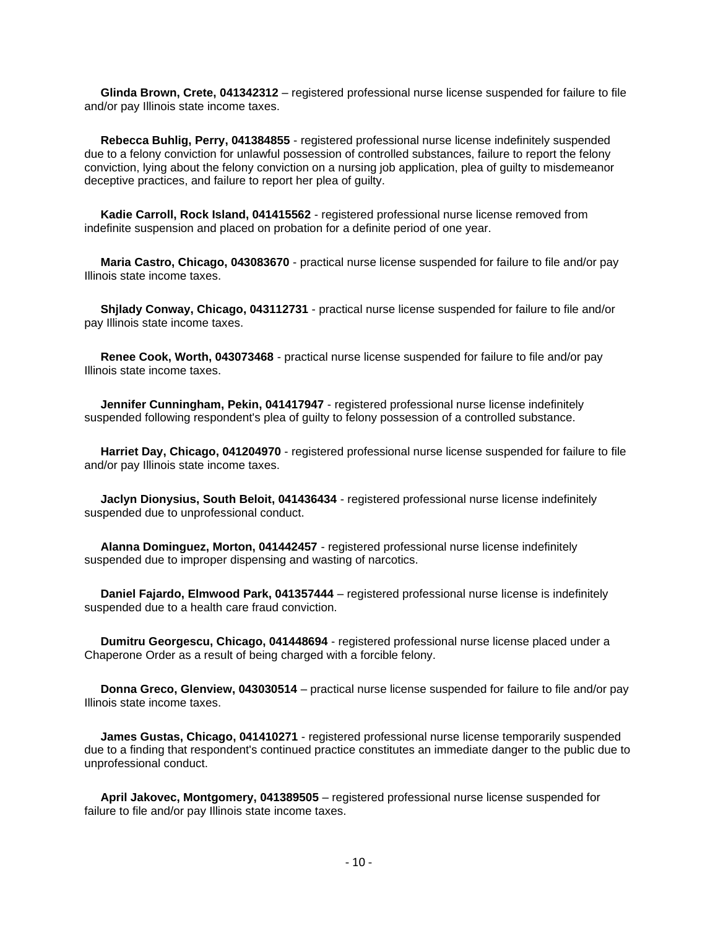**Glinda Brown, Crete, 041342312** – registered professional nurse license suspended for failure to file and/or pay Illinois state income taxes.

 **Rebecca Buhlig, Perry, 041384855** - registered professional nurse license indefinitely suspended due to a felony conviction for unlawful possession of controlled substances, failure to report the felony conviction, lying about the felony conviction on a nursing job application, plea of guilty to misdemeanor deceptive practices, and failure to report her plea of guilty.

 **Kadie Carroll, Rock Island, 041415562** - registered professional nurse license removed from indefinite suspension and placed on probation for a definite period of one year.

 **Maria Castro, Chicago, 043083670** - practical nurse license suspended for failure to file and/or pay Illinois state income taxes.

 **Shjlady Conway, Chicago, 043112731** - practical nurse license suspended for failure to file and/or pay Illinois state income taxes.

 **Renee Cook, Worth, 043073468** - practical nurse license suspended for failure to file and/or pay Illinois state income taxes.

 **Jennifer Cunningham, Pekin, 041417947** - registered professional nurse license indefinitely suspended following respondent's plea of guilty to felony possession of a controlled substance.

 **Harriet Day, Chicago, 041204970** - registered professional nurse license suspended for failure to file and/or pay Illinois state income taxes.

 **Jaclyn Dionysius, South Beloit, 041436434** - registered professional nurse license indefinitely suspended due to unprofessional conduct.

 **Alanna Dominguez, Morton, 041442457** - registered professional nurse license indefinitely suspended due to improper dispensing and wasting of narcotics.

 **Daniel Fajardo, Elmwood Park, 041357444** – registered professional nurse license is indefinitely suspended due to a health care fraud conviction.

 **Dumitru Georgescu, Chicago, 041448694** - registered professional nurse license placed under a Chaperone Order as a result of being charged with a forcible felony.

 **Donna Greco, Glenview, 043030514** – practical nurse license suspended for failure to file and/or pay Illinois state income taxes.

 **James Gustas, Chicago, 041410271** - registered professional nurse license temporarily suspended due to a finding that respondent's continued practice constitutes an immediate danger to the public due to unprofessional conduct.

 **April Jakovec, Montgomery, 041389505** – registered professional nurse license suspended for failure to file and/or pay Illinois state income taxes.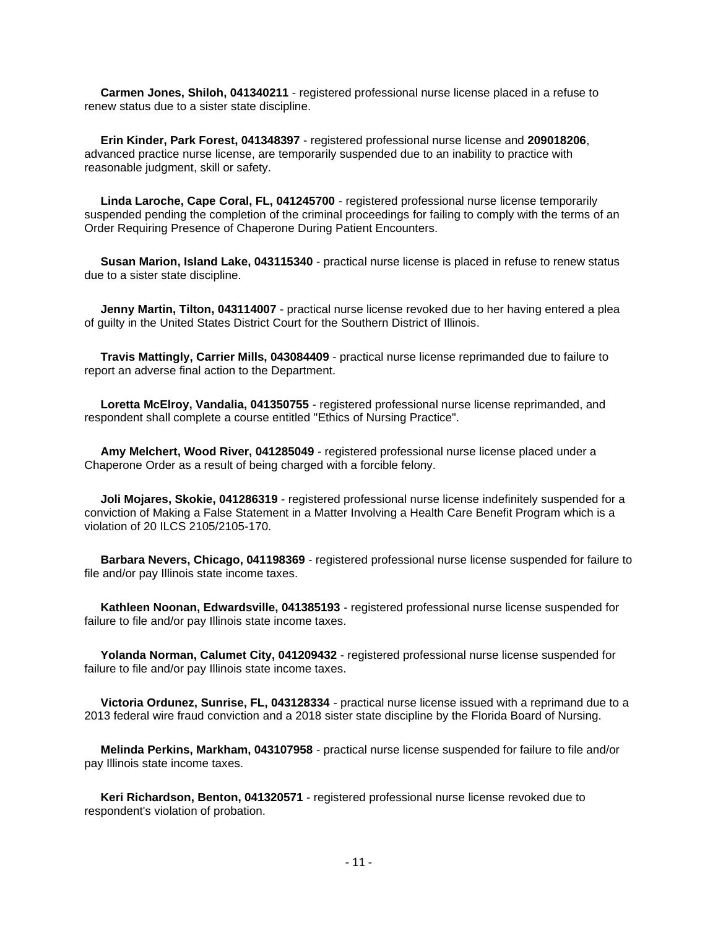**Carmen Jones, Shiloh, 041340211** - registered professional nurse license placed in a refuse to renew status due to a sister state discipline.

 **Erin Kinder, Park Forest, 041348397** - registered professional nurse license and **209018206**, advanced practice nurse license, are temporarily suspended due to an inability to practice with reasonable judgment, skill or safety.

 **Linda Laroche, Cape Coral, FL, 041245700** - registered professional nurse license temporarily suspended pending the completion of the criminal proceedings for failing to comply with the terms of an Order Requiring Presence of Chaperone During Patient Encounters.

 **Susan Marion, Island Lake, 043115340** - practical nurse license is placed in refuse to renew status due to a sister state discipline.

 **Jenny Martin, Tilton, 043114007** - practical nurse license revoked due to her having entered a plea of guilty in the United States District Court for the Southern District of Illinois.

 **Travis Mattingly, Carrier Mills, 043084409** - practical nurse license reprimanded due to failure to report an adverse final action to the Department.

 **Loretta McElroy, Vandalia, 041350755** - registered professional nurse license reprimanded, and respondent shall complete a course entitled "Ethics of Nursing Practice".

 **Amy Melchert, Wood River, 041285049** - registered professional nurse license placed under a Chaperone Order as a result of being charged with a forcible felony.

 **Joli Mojares, Skokie, 041286319** - registered professional nurse license indefinitely suspended for a conviction of Making a False Statement in a Matter Involving a Health Care Benefit Program which is a violation of 20 ILCS 2105/2105-170.

 **Barbara Nevers, Chicago, 041198369** - registered professional nurse license suspended for failure to file and/or pay Illinois state income taxes.

 **Kathleen Noonan, Edwardsville, 041385193** - registered professional nurse license suspended for failure to file and/or pay Illinois state income taxes.

 **Yolanda Norman, Calumet City, 041209432** - registered professional nurse license suspended for failure to file and/or pay Illinois state income taxes.

 **Victoria Ordunez, Sunrise, FL, 043128334** - practical nurse license issued with a reprimand due to a 2013 federal wire fraud conviction and a 2018 sister state discipline by the Florida Board of Nursing.

 **Melinda Perkins, Markham, 043107958** - practical nurse license suspended for failure to file and/or pay Illinois state income taxes.

 **Keri Richardson, Benton, 041320571** - registered professional nurse license revoked due to respondent's violation of probation.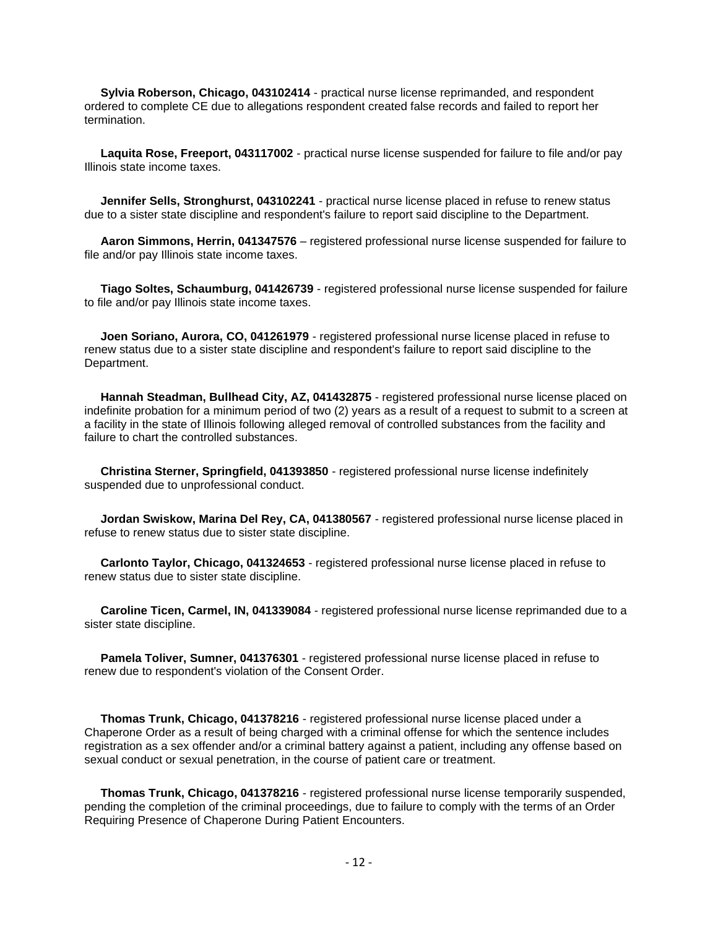**Sylvia Roberson, Chicago, 043102414** - practical nurse license reprimanded, and respondent ordered to complete CE due to allegations respondent created false records and failed to report her termination.

 **Laquita Rose, Freeport, 043117002** - practical nurse license suspended for failure to file and/or pay Illinois state income taxes.

 **Jennifer Sells, Stronghurst, 043102241** - practical nurse license placed in refuse to renew status due to a sister state discipline and respondent's failure to report said discipline to the Department.

 **Aaron Simmons, Herrin, 041347576** – registered professional nurse license suspended for failure to file and/or pay Illinois state income taxes.

 **Tiago Soltes, Schaumburg, 041426739** - registered professional nurse license suspended for failure to file and/or pay Illinois state income taxes.

 **Joen Soriano, Aurora, CO, 041261979** - registered professional nurse license placed in refuse to renew status due to a sister state discipline and respondent's failure to report said discipline to the Department.

 **Hannah Steadman, Bullhead City, AZ, 041432875** - registered professional nurse license placed on indefinite probation for a minimum period of two (2) years as a result of a request to submit to a screen at a facility in the state of Illinois following alleged removal of controlled substances from the facility and failure to chart the controlled substances.

 **Christina Sterner, Springfield, 041393850** - registered professional nurse license indefinitely suspended due to unprofessional conduct.

 **Jordan Swiskow, Marina Del Rey, CA, 041380567** - registered professional nurse license placed in refuse to renew status due to sister state discipline.

 **Carlonto Taylor, Chicago, 041324653** - registered professional nurse license placed in refuse to renew status due to sister state discipline.

 **Caroline Ticen, Carmel, IN, 041339084** - registered professional nurse license reprimanded due to a sister state discipline.

 **Pamela Toliver, Sumner, 041376301** - registered professional nurse license placed in refuse to renew due to respondent's violation of the Consent Order.

 **Thomas Trunk, Chicago, 041378216** - registered professional nurse license placed under a Chaperone Order as a result of being charged with a criminal offense for which the sentence includes registration as a sex offender and/or a criminal battery against a patient, including any offense based on sexual conduct or sexual penetration, in the course of patient care or treatment.

 **Thomas Trunk, Chicago, 041378216** - registered professional nurse license temporarily suspended, pending the completion of the criminal proceedings, due to failure to comply with the terms of an Order Requiring Presence of Chaperone During Patient Encounters.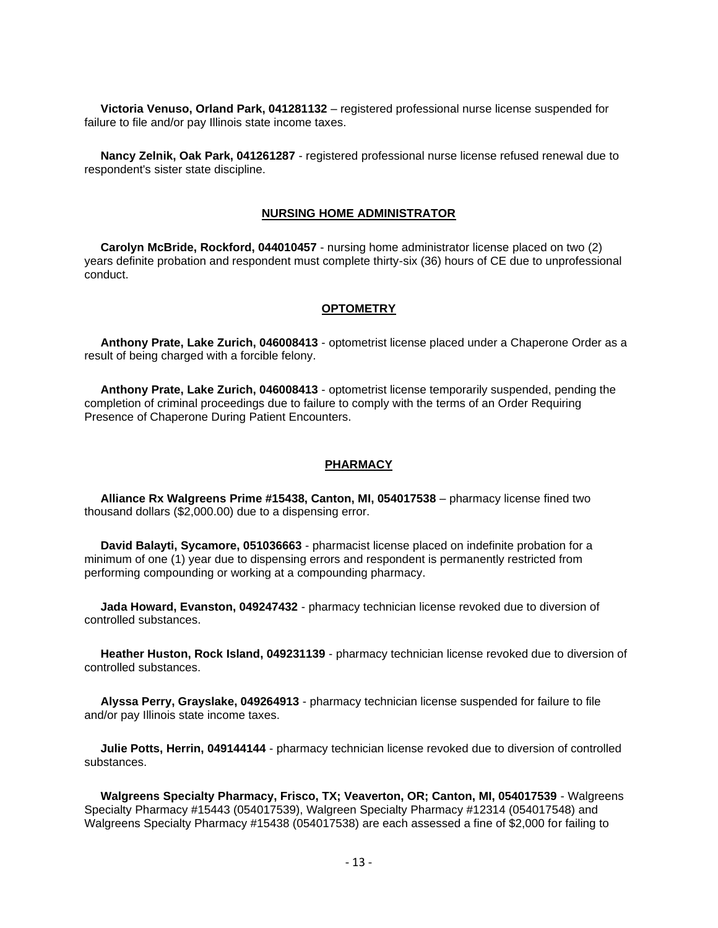**Victoria Venuso, Orland Park, 041281132** – registered professional nurse license suspended for failure to file and/or pay Illinois state income taxes.

 **Nancy Zelnik, Oak Park, 041261287** - registered professional nurse license refused renewal due to respondent's sister state discipline.

#### **NURSING HOME ADMINISTRATOR**

 **Carolyn McBride, Rockford, 044010457** - nursing home administrator license placed on two (2) years definite probation and respondent must complete thirty-six (36) hours of CE due to unprofessional conduct.

#### **OPTOMETRY**

 **Anthony Prate, Lake Zurich, 046008413** - optometrist license placed under a Chaperone Order as a result of being charged with a forcible felony.

 **Anthony Prate, Lake Zurich, 046008413** - optometrist license temporarily suspended, pending the completion of criminal proceedings due to failure to comply with the terms of an Order Requiring Presence of Chaperone During Patient Encounters.

#### **PHARMACY**

 **Alliance Rx Walgreens Prime #15438, Canton, MI, 054017538** – pharmacy license fined two thousand dollars (\$2,000.00) due to a dispensing error.

 **David Balayti, Sycamore, 051036663** - pharmacist license placed on indefinite probation for a minimum of one (1) year due to dispensing errors and respondent is permanently restricted from performing compounding or working at a compounding pharmacy.

 **Jada Howard, Evanston, 049247432** - pharmacy technician license revoked due to diversion of controlled substances.

 **Heather Huston, Rock Island, 049231139** - pharmacy technician license revoked due to diversion of controlled substances.

 **Alyssa Perry, Grayslake, 049264913** - pharmacy technician license suspended for failure to file and/or pay Illinois state income taxes.

 **Julie Potts, Herrin, 049144144** - pharmacy technician license revoked due to diversion of controlled substances.

 **Walgreens Specialty Pharmacy, Frisco, TX; Veaverton, OR; Canton, MI, 054017539** - Walgreens Specialty Pharmacy #15443 (054017539), Walgreen Specialty Pharmacy #12314 (054017548) and Walgreens Specialty Pharmacy #15438 (054017538) are each assessed a fine of \$2,000 for failing to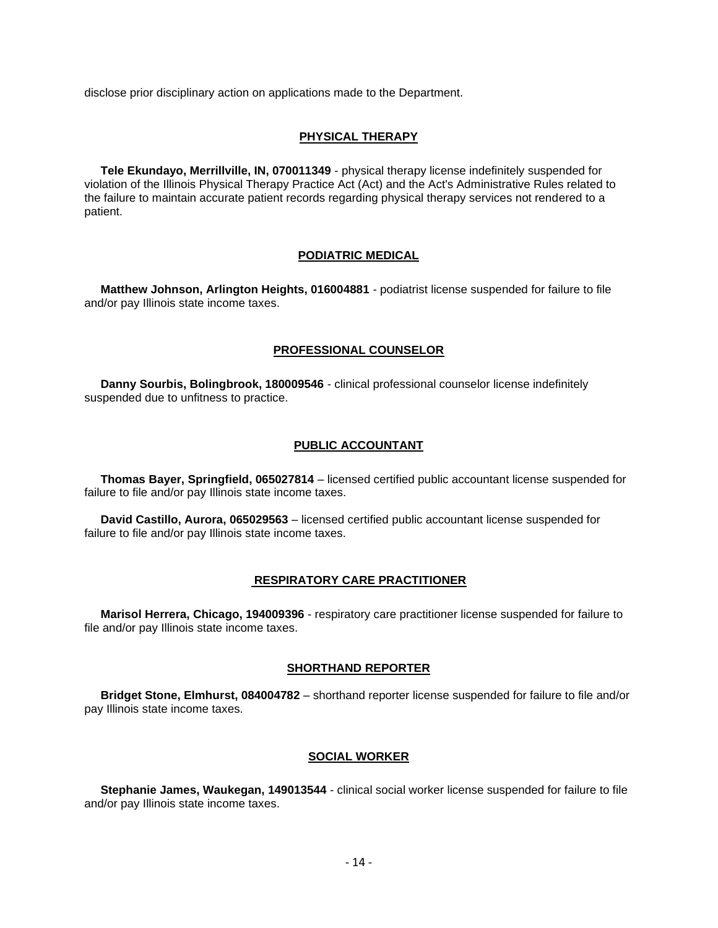disclose prior disciplinary action on applications made to the Department.

#### **PHYSICAL THERAPY**

 **Tele Ekundayo, Merrillville, IN, 070011349** - physical therapy license indefinitely suspended for violation of the Illinois Physical Therapy Practice Act (Act) and the Act's Administrative Rules related to the failure to maintain accurate patient records regarding physical therapy services not rendered to a patient.

#### **PODIATRIC MEDICAL**

 **Matthew Johnson, Arlington Heights, 016004881** - podiatrist license suspended for failure to file and/or pay Illinois state income taxes.

#### **PROFESSIONAL COUNSELOR**

 **Danny Sourbis, Bolingbrook, 180009546** - clinical professional counselor license indefinitely suspended due to unfitness to practice.

#### **PUBLIC ACCOUNTANT**

 **Thomas Bayer, Springfield, 065027814** – licensed certified public accountant license suspended for failure to file and/or pay Illinois state income taxes.

 **David Castillo, Aurora, 065029563** – licensed certified public accountant license suspended for failure to file and/or pay Illinois state income taxes.

#### **RESPIRATORY CARE PRACTITIONER**

 **Marisol Herrera, Chicago, 194009396** - respiratory care practitioner license suspended for failure to file and/or pay Illinois state income taxes.

#### **SHORTHAND REPORTER**

 **Bridget Stone, Elmhurst, 084004782** – shorthand reporter license suspended for failure to file and/or pay Illinois state income taxes.

#### **SOCIAL WORKER**

 **Stephanie James, Waukegan, 149013544** - clinical social worker license suspended for failure to file and/or pay Illinois state income taxes.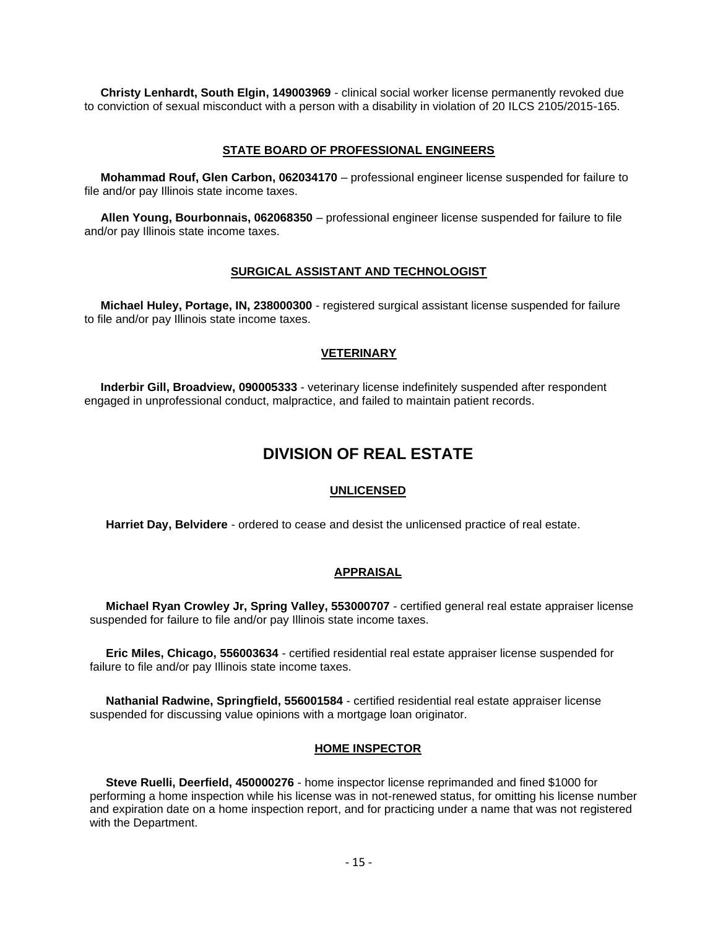**Christy Lenhardt, South Elgin, 149003969** - clinical social worker license permanently revoked due to conviction of sexual misconduct with a person with a disability in violation of 20 ILCS 2105/2015-165.

#### **STATE BOARD OF PROFESSIONAL ENGINEERS**

 **Mohammad Rouf, Glen Carbon, 062034170** – professional engineer license suspended for failure to file and/or pay Illinois state income taxes.

 **Allen Young, Bourbonnais, 062068350** – professional engineer license suspended for failure to file and/or pay Illinois state income taxes.

#### **SURGICAL ASSISTANT AND TECHNOLOGIST**

 **Michael Huley, Portage, IN, 238000300** - registered surgical assistant license suspended for failure to file and/or pay Illinois state income taxes.

#### **VETERINARY**

 **Inderbir Gill, Broadview, 090005333** - veterinary license indefinitely suspended after respondent engaged in unprofessional conduct, malpractice, and failed to maintain patient records.

# **DIVISION OF REAL ESTATE**

#### **UNLICENSED**

**Harriet Day, Belvidere** - ordered to cease and desist the unlicensed practice of real estate.

#### **APPRAISAL**

 **Michael Ryan Crowley Jr, Spring Valley, 553000707** - certified general real estate appraiser license suspended for failure to file and/or pay Illinois state income taxes.

 **Eric Miles, Chicago, 556003634** - certified residential real estate appraiser license suspended for failure to file and/or pay Illinois state income taxes.

 **Nathanial Radwine, Springfield, 556001584** - certified residential real estate appraiser license suspended for discussing value opinions with a mortgage loan originator.

#### **HOME INSPECTOR**

 **Steve Ruelli, Deerfield, 450000276** - home inspector license reprimanded and fined \$1000 for performing a home inspection while his license was in not-renewed status, for omitting his license number and expiration date on a home inspection report, and for practicing under a name that was not registered with the Department.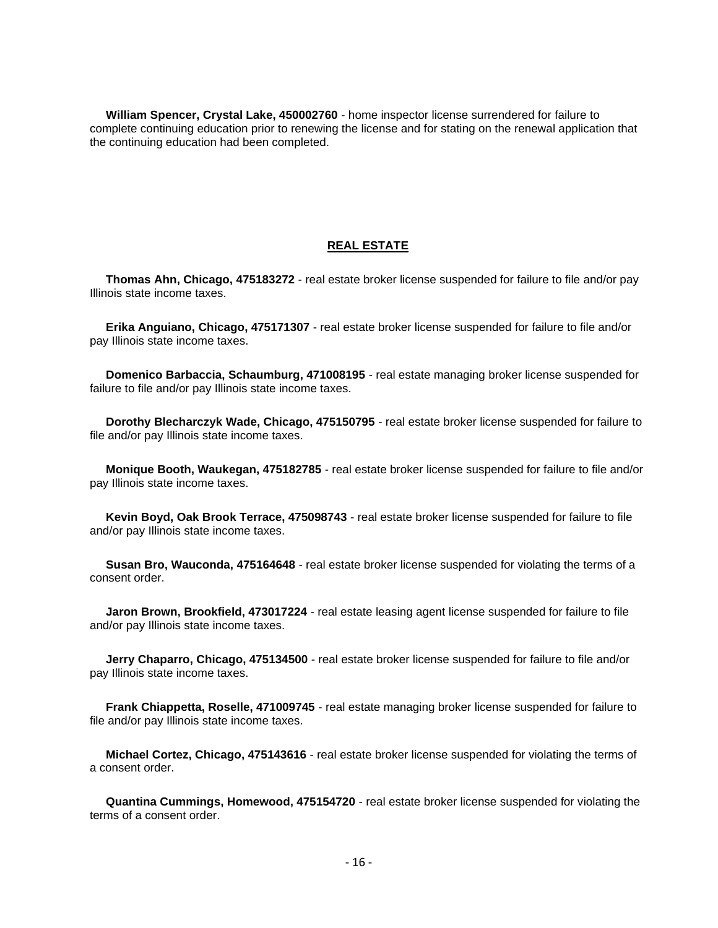**William Spencer, Crystal Lake, 450002760** - home inspector license surrendered for failure to complete continuing education prior to renewing the license and for stating on the renewal application that the continuing education had been completed.

#### **REAL ESTATE**

 **Thomas Ahn, Chicago, 475183272** - real estate broker license suspended for failure to file and/or pay Illinois state income taxes.

 **Erika Anguiano, Chicago, 475171307** - real estate broker license suspended for failure to file and/or pay Illinois state income taxes.

 **Domenico Barbaccia, Schaumburg, 471008195** - real estate managing broker license suspended for failure to file and/or pay Illinois state income taxes.

 **Dorothy Blecharczyk Wade, Chicago, 475150795** - real estate broker license suspended for failure to file and/or pay Illinois state income taxes.

 **Monique Booth, Waukegan, 475182785** - real estate broker license suspended for failure to file and/or pay Illinois state income taxes.

 **Kevin Boyd, Oak Brook Terrace, 475098743** - real estate broker license suspended for failure to file and/or pay Illinois state income taxes.

 **Susan Bro, Wauconda, 475164648** - real estate broker license suspended for violating the terms of a consent order.

 **Jaron Brown, Brookfield, 473017224** - real estate leasing agent license suspended for failure to file and/or pay Illinois state income taxes.

 **Jerry Chaparro, Chicago, 475134500** - real estate broker license suspended for failure to file and/or pay Illinois state income taxes.

 **Frank Chiappetta, Roselle, 471009745** - real estate managing broker license suspended for failure to file and/or pay Illinois state income taxes.

 **Michael Cortez, Chicago, 475143616** - real estate broker license suspended for violating the terms of a consent order.

 **Quantina Cummings, Homewood, 475154720** - real estate broker license suspended for violating the terms of a consent order.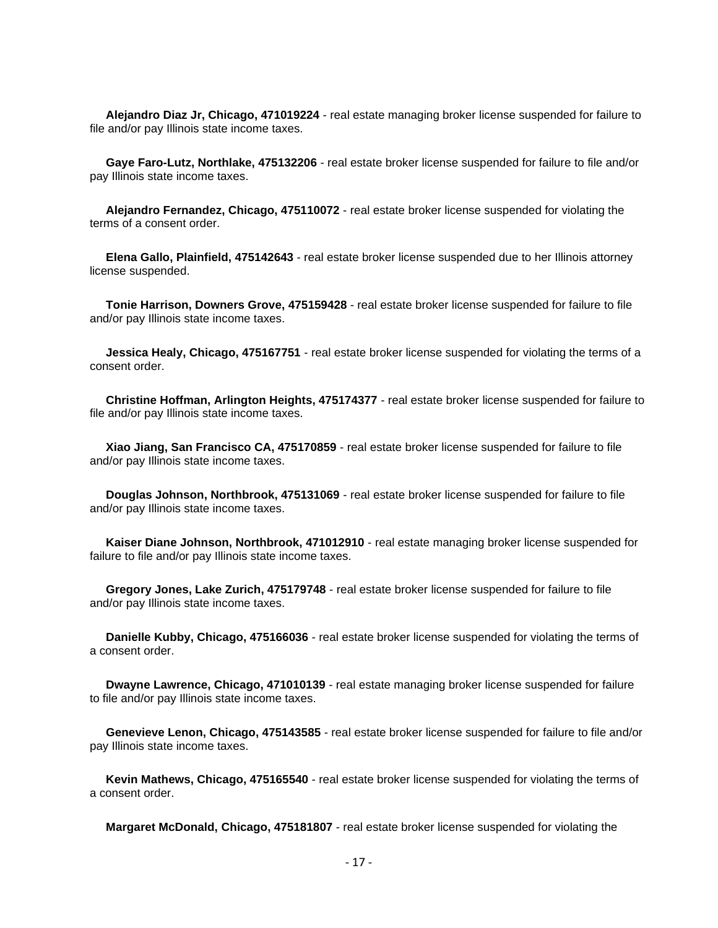**Alejandro Diaz Jr, Chicago, 471019224** - real estate managing broker license suspended for failure to file and/or pay Illinois state income taxes.

 **Gaye Faro-Lutz, Northlake, 475132206** - real estate broker license suspended for failure to file and/or pay Illinois state income taxes.

 **Alejandro Fernandez, Chicago, 475110072** - real estate broker license suspended for violating the terms of a consent order.

 **Elena Gallo, Plainfield, 475142643** - real estate broker license suspended due to her Illinois attorney license suspended.

 **Tonie Harrison, Downers Grove, 475159428** - real estate broker license suspended for failure to file and/or pay Illinois state income taxes.

 **Jessica Healy, Chicago, 475167751** - real estate broker license suspended for violating the terms of a consent order.

 **Christine Hoffman, Arlington Heights, 475174377** - real estate broker license suspended for failure to file and/or pay Illinois state income taxes.

 **Xiao Jiang, San Francisco CA, 475170859** - real estate broker license suspended for failure to file and/or pay Illinois state income taxes.

 **Douglas Johnson, Northbrook, 475131069** - real estate broker license suspended for failure to file and/or pay Illinois state income taxes.

 **Kaiser Diane Johnson, Northbrook, 471012910** - real estate managing broker license suspended for failure to file and/or pay Illinois state income taxes.

 **Gregory Jones, Lake Zurich, 475179748** - real estate broker license suspended for failure to file and/or pay Illinois state income taxes.

 **Danielle Kubby, Chicago, 475166036** - real estate broker license suspended for violating the terms of a consent order.

 **Dwayne Lawrence, Chicago, 471010139** - real estate managing broker license suspended for failure to file and/or pay Illinois state income taxes.

 **Genevieve Lenon, Chicago, 475143585** - real estate broker license suspended for failure to file and/or pay Illinois state income taxes.

 **Kevin Mathews, Chicago, 475165540** - real estate broker license suspended for violating the terms of a consent order.

**Margaret McDonald, Chicago, 475181807** - real estate broker license suspended for violating the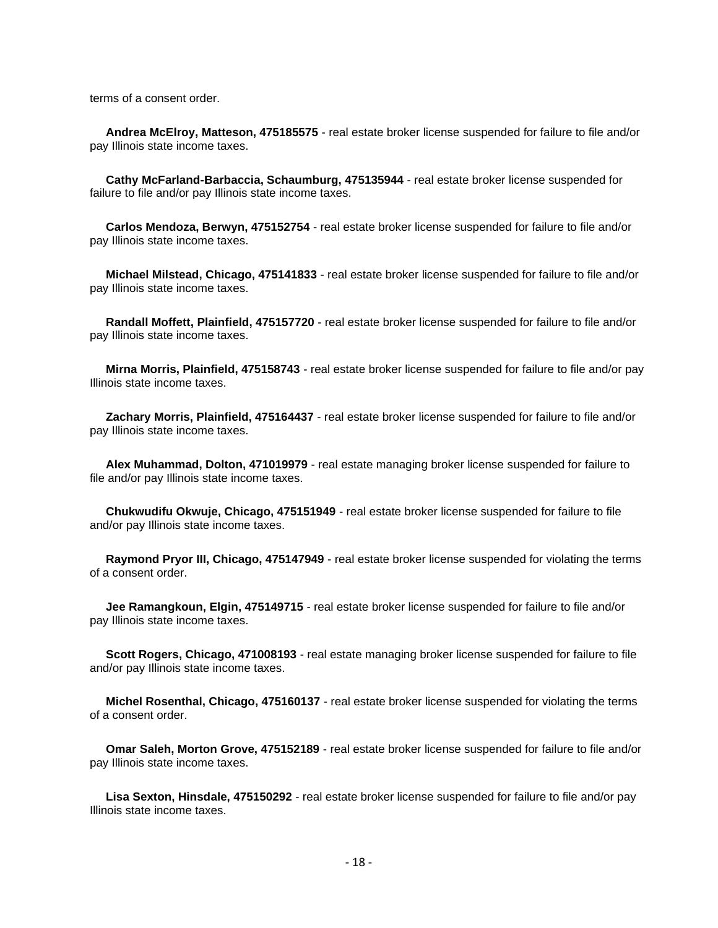terms of a consent order.

 **Andrea McElroy, Matteson, 475185575** - real estate broker license suspended for failure to file and/or pay Illinois state income taxes.

 **Cathy McFarland-Barbaccia, Schaumburg, 475135944** - real estate broker license suspended for failure to file and/or pay Illinois state income taxes.

 **Carlos Mendoza, Berwyn, 475152754** - real estate broker license suspended for failure to file and/or pay Illinois state income taxes.

 **Michael Milstead, Chicago, 475141833** - real estate broker license suspended for failure to file and/or pay Illinois state income taxes.

 **Randall Moffett, Plainfield, 475157720** - real estate broker license suspended for failure to file and/or pay Illinois state income taxes.

 **Mirna Morris, Plainfield, 475158743** - real estate broker license suspended for failure to file and/or pay Illinois state income taxes.

 **Zachary Morris, Plainfield, 475164437** - real estate broker license suspended for failure to file and/or pay Illinois state income taxes.

 **Alex Muhammad, Dolton, 471019979** - real estate managing broker license suspended for failure to file and/or pay Illinois state income taxes.

 **Chukwudifu Okwuje, Chicago, 475151949** - real estate broker license suspended for failure to file and/or pay Illinois state income taxes.

 **Raymond Pryor III, Chicago, 475147949** - real estate broker license suspended for violating the terms of a consent order.

 **Jee Ramangkoun, Elgin, 475149715** - real estate broker license suspended for failure to file and/or pay Illinois state income taxes.

 **Scott Rogers, Chicago, 471008193** - real estate managing broker license suspended for failure to file and/or pay Illinois state income taxes.

 **Michel Rosenthal, Chicago, 475160137** - real estate broker license suspended for violating the terms of a consent order.

 **Omar Saleh, Morton Grove, 475152189** - real estate broker license suspended for failure to file and/or pay Illinois state income taxes.

 **Lisa Sexton, Hinsdale, 475150292** - real estate broker license suspended for failure to file and/or pay Illinois state income taxes.